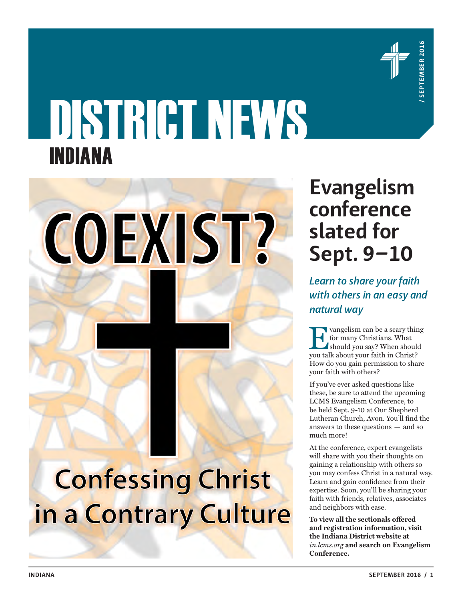

# DISTRICT NEWS INDIANA



### **Evangelism conference slated for Sept. 9–10**

*Learn to share your faith with others in an easy and natural way*

for many Christians. What should you say? When should you talk about your faith in Christ? How do you gain permission to share your faith with others?

If you've ever asked questions like these, be sure to attend the upcoming LCMS Evangelism Conference, to be held Sept. 9-10 at Our Shepherd Lutheran Church, Avon. You'll find the answers to these questions — and so much more!

At the conference, expert evangelists will share with you their thoughts on gaining a relationship with others so you may confess Christ in a natural way. Learn and gain confidence from their expertise. Soon, you'll be sharing your faith with friends, relatives, associates and neighbors with ease.

**To view all the sectionals offered and registration information, visit the Indiana District website at**  *in.lcms.org* **and search on Evangelism Conference.**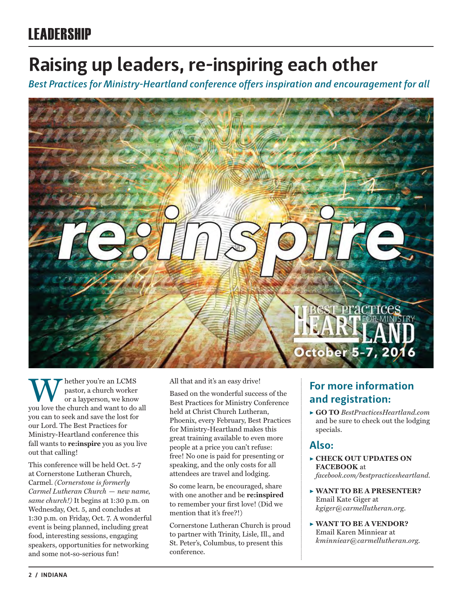### **Raising up leaders, re-inspiring each other**

*Best Practices for Ministry-Heartland conference offers inspiration and encouragement for all*



Whether you're an LCMS<br>
pastor, a church worker<br>
you love the church and want to do all pastor, a church worker or a layperson, we know you can to seek and save the lost for our Lord. The Best Practices for Ministry-Heartland conference this fall wants to **re:inspire** you as you live out that calling!

This conference will be held Oct. 5-7 at Cornerstone Lutheran Church, Carmel. *(Cornerstone is formerly Carmel Lutheran Church — new name, same church!)* It begins at 1:30 p.m. on Wednesday, Oct. 5, and concludes at 1:30 p.m. on Friday, Oct. 7. A wonderful event is being planned, including great food, interesting sessions, engaging speakers, opportunities for networking and some not-so-serious fun!

All that and it's an easy drive!

Based on the wonderful success of the Best Practices for Ministry Conference held at Christ Church Lutheran, Phoenix, every February, Best Practices for Ministry-Heartland makes this great training available to even more people at a price you can't refuse: free! No one is paid for presenting or speaking, and the only costs for all attendees are travel and lodging.

So come learn, be encouraged, share with one another and be **re:inspired** to remember your first love! (Did we mention that it's free?!)

Cornerstone Lutheran Church is proud to partner with Trinity, Lisle, Ill., and St. Peter's, Columbus, to present this conference.

### **For more information and registration:**

▶ **GO TO** *BestPracticesHeartland.com* and be sure to check out the lodging specials.

### **Also:**

- ▶ **CHECK OUT UPDATES ON FACEBOOK** at *facebook.com/bestpracticesheartland.*
- ▶ **WANT TO BE A PRESENTER?**  Email Kate Giger at *kgiger@carmellutheran.org*.
- ▶ **WANT TO BE A VENDOR?**  Email Karen Minniear at *kminniear@carmellutheran.org.*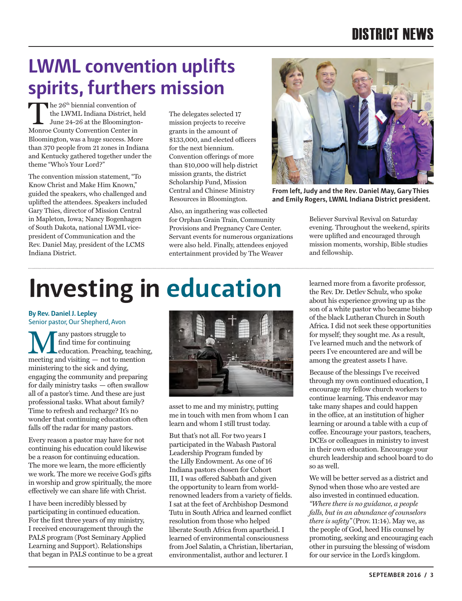### DISTRICT NEWS

### **LWML convention uplifts spirits, furthers mission**

the 26<sup>th</sup> biennial convention of<br>the LWML Indiana District, hele<br>June 24-26 at the Bloomington-<br>Monroe County Convention Center in the LWML Indiana District, held Monroe County Convention Center in Bloomington, was a huge success. More than 370 people from 21 zones in Indiana and Kentucky gathered together under the theme "Who's Your Lord?"

The convention mission statement, "To Know Christ and Make Him Known," guided the speakers, who challenged and uplifted the attendees. Speakers included Gary Thies, director of Mission Central in Mapleton, Iowa; Nancy Bogenhagen of South Dakota, national LWML vicepresident of Communication and the Rev. Daniel May, president of the LCMS Indiana District.

The delegates selected 17 mission projects to receive grants in the amount of \$133,000, and elected officers for the next biennium. Convention offerings of more than \$10,000 will help district mission grants, the district Scholarship Fund, Mission Central and Chinese Ministry Resources in Bloomington.

Also, an ingathering was collected for Orphan Grain Train, Community Provisions and Pregnancy Care Center. Servant events for numerous organizations were also held. Finally, attendees enjoyed entertainment provided by The Weaver



**From left, Judy and the Rev. Daniel May, Gary Thies and Emily Rogers, LWML Indiana District president.**

Believer Survival Revival on Saturday evening. Throughout the weekend, spirits were uplifted and encouraged through mission moments, worship, Bible studies and fellowship.

## **Investing in education**

**By Rev. Daniel J. Lepley** Senior pastor, Our Shepherd, Avon

Many pastors struggle to meeting and visiting — not to mention find time for continuing education. Preaching, teaching, ministering to the sick and dying, engaging the community and preparing for daily ministry tasks — often swallow all of a pastor's time. And these are just professional tasks. What about family? Time to refresh and recharge? It's no wonder that continuing education often falls off the radar for many pastors.

Every reason a pastor may have for not continuing his education could likewise be a reason for continuing education. The more we learn, the more efficiently we work. The more we receive God's gifts in worship and grow spiritually, the more effectively we can share life with Christ.

I have been incredibly blessed by participating in continued education. For the first three years of my ministry, I received encouragement through the PALS program (Post Seminary Applied Learning and Support). Relationships that began in PALS continue to be a great



asset to me and my ministry, putting me in touch with men from whom I can learn and whom I still trust today.

But that's not all. For two years I participated in the Wabash Pastoral Leadership Program funded by the Lilly Endowment. As one of 16 Indiana pastors chosen for Cohort III, I was offered Sabbath and given the opportunity to learn from worldrenowned leaders from a variety of fields. I sat at the feet of Archbishop Desmond Tutu in South Africa and learned conflict resolution from those who helped liberate South Africa from apartheid. I learned of environmental consciousness from Joel Salatin, a Christian, libertarian, environmentalist, author and lecturer. I

learned more from a favorite professor, the Rev. Dr. Detlev Schulz, who spoke about his experience growing up as the son of a white pastor who became bishop of the black Lutheran Church in South Africa. I did not seek these opportunities for myself; they sought me. As a result, I've learned much and the network of peers I've encountered are and will be among the greatest assets I have.

Because of the blessings I've received through my own continued education, I encourage my fellow church workers to continue learning. This endeavor may take many shapes and could happen in the office, at an institution of higher learning or around a table with a cup of coffee. Encourage your pastors, teachers, DCEs or colleagues in ministry to invest in their own education. Encourage your church leadership and school board to do so as well.

We will be better served as a district and Synod when those who are vested are also invested in continued education. *"Where there is no guidance, a people falls, but in an abundance of counselors there is safety"* (Prov. 11:14). May we, as the people of God, heed His counsel by promoting, seeking and encouraging each other in pursuing the blessing of wisdom for our service in the Lord's kingdom.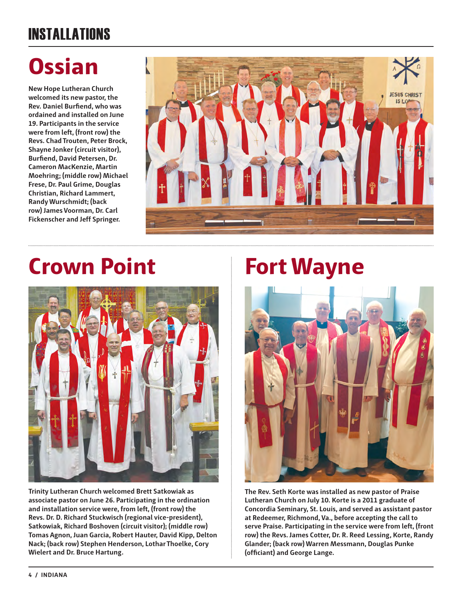### INSTALLATIONS

## **Ossian**

**New Hope Lutheran Church welcomed its new pastor, the Rev. Daniel Burfiend, who was ordained and installed on June 19. Participants in the service were from left, (front row) the Revs. Chad Trouten, Peter Brock, Shayne Jonker (circuit visitor), Burfiend, David Petersen, Dr. Cameron MacKenzie, Martin Moehring; (middle row) Michael Frese, Dr. Paul Grime, Douglas Christian, Richard Lammert, Randy Wurschmidt; (back row) James Voorman, Dr. Carl Fickenscher and Jeff Springer.**



## **Crown Point Fort Wayne**



**Trinity Lutheran Church welcomed Brett Satkowiak as associate pastor on June 26. Participating in the ordination and installation service were, from left, (front row) the Revs. Dr. D. Richard Stuckwisch (regional vice-president), Satkowiak, Richard Boshoven (circuit visitor); (middle row) Tomas Agnon, Juan Garcia, Robert Hauter, David Kipp, Delton Nack; (back row) Stephen Henderson, Lothar Thoelke, Cory Wielert and Dr. Bruce Hartung.**



**The Rev. Seth Korte was installed as new pastor of Praise Lutheran Church on July 10. Korte is a 2011 graduate of Concordia Seminary, St. Louis, and served as assistant pastor at Redeemer, Richmond, Va., before accepting the call to serve Praise. Participating in the service were from left, (front row) the Revs. James Cotter, Dr. R. Reed Lessing, Korte, Randy Glander; (back row) Warren Messmann, Douglas Punke (officiant) and George Lange.**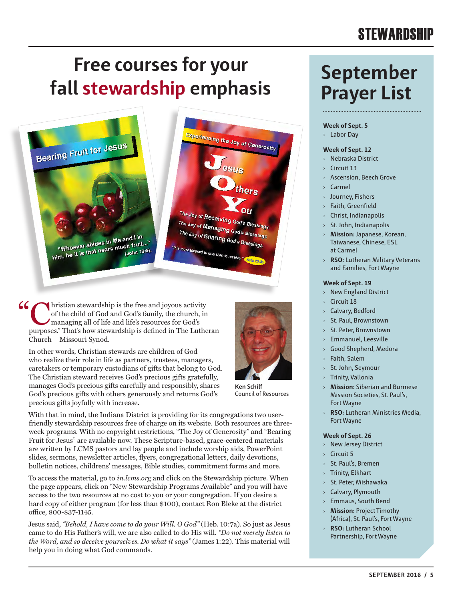### **STEWARDSHIP**

### **Free courses for your fall stewardship emphasis September**



(Christian stewardship is the free and joyous activity<br>of the child of God and God's family, the church, in<br>managing all of life and life's resources for God's<br>purposes" That's how stewardship is defined in The Luthe of the child of God and God's family, the church, in managing all of life and life's resources for God's purposes." That's how stewardship is defined in The Lutheran Church—Missouri Synod.

In other words, Christian stewards are children of God who realize their role in life as partners, trustees, managers, caretakers or temporary custodians of gifts that belong to God. The Christian steward receives God's precious gifts gratefully, manages God's precious gifts carefully and responsibly, shares God's precious gifts with others generously and returns God's precious gifts joyfully with increase.



**Ken Schilf** Council of Resources

With that in mind, the Indiana District is providing for its congregations two userfriendly stewardship resources free of charge on its website. Both resources are threeweek programs. With no copyright restrictions, "The Joy of Generosity" and "Bearing Fruit for Jesus" are available now. These Scripture-based, grace-centered materials are written by LCMS pastors and lay people and include worship aids, PowerPoint slides, sermons, newsletter articles, flyers, congregational letters, daily devotions, bulletin notices, childrens' messages, Bible studies, commitment forms and more.

To access the material, go to *in.lcms.org* and click on the Stewardship picture. When the page appears, click on "New Stewardship Programs Available" and you will have access to the two resources at no cost to you or your congregation. If you desire a hard copy of either program (for less than \$100), contact Ron Bleke at the district office, 800-837-1145.

Jesus said, *"Behold, I have come to do your Will, O God"* (Heb. 10:7a). So just as Jesus came to do His Father's will, we are also called to do His will. *"Do not merely listen to the Word, and so deceive yourselves. Do what it says"* (James 1:22). This material will help you in doing what God commands.

# **Prayer List**

#### **Week of Sept. 5**

› Labor Day

#### **Week of Sept. 12**

- › Nebraska District
- **Circuit 13**
- Ascension, Beech Grove
- Carmel
- › Journey, Fishers
- Faith, Greenfield
- › Christ, Indianapolis
- › St. John, Indianapolis
- › **Mission:** Japanese, Korean, Taiwanese, Chinese, ESL at Carmel
- › **RSO:** Lutheran Military Veterans and Families, Fort Wayne

#### **Week of Sept. 19**

- › New England District
- Circuit 18
- Calvary, Bedford
- St. Paul, Brownstown
- St. Peter, Brownstown
- › Emmanuel, Leesville
- Good Shepherd, Medora
- Faith, Salem
- St. John, Seymour
- **Trinity, Vallonia**
- › **Mission:** Siberian and Burmese Mission Societies, St. Paul's, Fort Wayne
- › **RSO:** Lutheran Ministries Media, Fort Wayne

#### **Week of Sept. 26**

- › New Jersey District
- $\sqrt{C}$  Circuit 5
- › St. Paul's, Bremen
- › Trinity, Elkhart
- St. Peter, Mishawaka
- › Calvary, Plymouth
- › Emmaus, South Bend
- › **Mission:** Project Timothy (Africa), St. Paul's, Fort Wayne
- › **RSO:** Lutheran School Partnership, Fort Wayne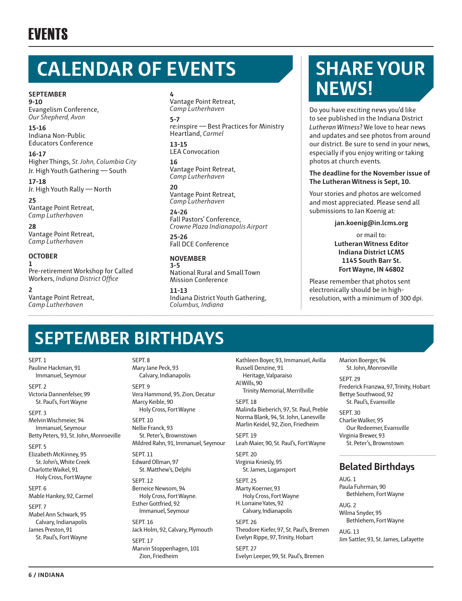### **CALENDAR OF EVENTS**

**SEPTEMBER 9-10**

Evangelism Conference, *Our Shepherd, Avon*

**15-16** Indiana Non-Public Educators Conference

**16-17** Higher Things, *St. John, Columbia City* Jr. High Youth Gathering — South

**17-18** Jr. High Youth Rally — North

**25** Vantage Point Retreat, *Camp Lutherhaven*

**28** Vantage Point Retreat, *Camp Lutherhaven*

**OCTOBER 1** Pre-retirement Workshop for Called Workers, *Indiana District Office*

**2** Vantage Point Retreat, *Camp Lutherhaven*

#### **4**

Vantage Point Retreat, *Camp Lutherhaven* **5-7** re:inspire — Best Practices for Ministry Heartland, *Carmel* 

**13-15** LEA Convocation

**16** Vantage Point Retreat, *Camp Lutherhaven*

**20** Vantage Point Retreat, *Camp Lutherhaven*

**24-26** Fall Pastors' Conference, *Crowne Plaza Indianapolis Airport*

**25-26** Fall DCE Conference

**NOVEMBER 3-5** National Rural and Small Town Mission Conference

**11-13** Indiana District Youth Gathering, *Columbus, Indiana*

### **SHARE YOUR NEWS!**

Do you have exciting news you'd like to see published in the Indiana District *Lutheran Witness*? We love to hear news and updates and see photos from around our district. Be sure to send in your news, especially if you enjoy writing or taking photos at church events.

#### **The deadline for the November issue of The Lutheran Witness is Sept, 10.**

Your stories and photos are welcomed and most appreciated. Please send all submissions to Jan Koenig at:

**jan.koenig@in.lcms.org**

or mail to: **Lutheran Witness Editor Indiana District LCMS 1145 South Barr St. Fort Wayne, IN 46802** 

Please remember that photos sent electronically should be in highresolution, with a minimum of 300 dpi.

### **SEPTEMBER BIRTHDAYS**

SEPT<sub>1</sub>

Pauline Hackman, 91 Immanuel, Seymour

SEPT<sub>2</sub> Victoria Dannenfelser, 99 St. Paul's, Fort Wayne

SEPT. 3 Melvin Wischmeier, 94 Immanuel, Seymour Betty Peters, 93, St. John, Monroeville

SEPT. 5

Elizabeth McKinney, 95 St. John's, White Creek Charlotte Waikel, 91

Holy Cross, Fort Wayne SEPT. 6

Mable Hankey, 92, Carmel SEPT. 7

Mabel Ann Schwark, 95 Calvary, Indianapolis James Preston, 91 St. Paul's, Fort Wayne SEPT<sub>8</sub> Mary Jane Peck, 93

Calvary, Indianapolis SEPT. 9 Vera Hammond, 95, Zion, Decatur Marcy Keible, 90 Holy Cross, Fort Wayne

SEPT. 10 Nellie Franck, 93 St. Peter's, Brownstown Mildred Rahn, 91, Immanuel, Seymour

SEPT. 11 Edward Ollman, 97 St. Matthew's, Delphi

SEPT. 12 Berneice Newsom, 94 Holy Cross, Fort Wayne. Esther Gottfried, 92 Immanuel, Seymour

SEPT. 16 Jack Holm, 92, Calvary, Plymouth SEPT<sub>17</sub> Marvin Stoppenhagen, 101 Zion, Friedheim

Kathleen Boyer, 93, Immanuel, Avilla Russell Denzine, 91 Heritage, Valparaiso Al Wills, 90 Trinity Memorial, Merrillville

SEPT<sub>18</sub>

Malinda Bieberich, 97, St. Paul, Preble Norma Blank, 94, St. John, Lanesville Marlin Keidel, 92, Zion, Friedheim SEPT. 19

Leah Maier, 90, St. Paul's, Fort Wayne

SEPT. 20 Virginia Kniesly, 95 St. James, Logansport

SEPT<sub>25</sub> Marty Koerner, 93 Holy Cross, Fort Wayne H. Lorraine Yates, 92 Calvary, Indianapolis

SEPT. 26 Theodore Kiefer, 97, St. Paul's, Bremen Evelyn Rippe, 97, Trinity, Hobart SEPT. 27 Evelyn Leeper, 99, St. Paul's, Bremen

Marion Boerger, 94 St. John, Monroeville

SEPT<sub>29</sub> Frederick Franzwa, 97, Trinity, Hobart Bettye Southwood, 92 St. Paul's, Evansville

SEPT. 30 Charlie Walker, 95 Our Redeemer, Evansville Virginia Brewer, 93 St. Peter's, Brownstown

### **Belated Birthdays**

AUG. 1 Paula Fuhrman, 90 Bethlehem, Fort Wayne

AUG. 2 Wilma Snyder, 95 Bethlehem, Fort Wayne

AUG. 13 Jim Sattler, 93, St. James, Lafayette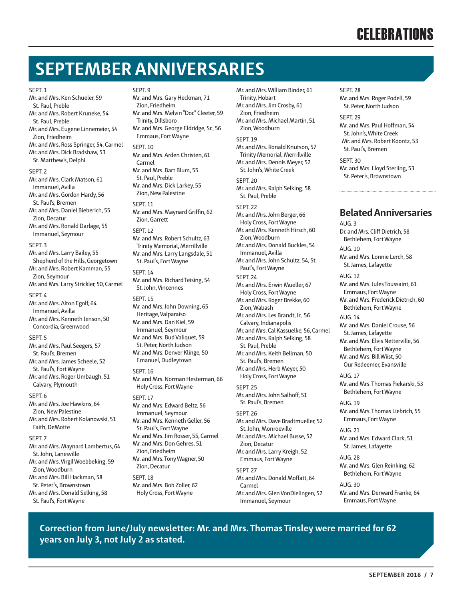### **CELEBRATIONS**

### **SEPTEMBER ANNIVERSARIES**

#### SEPT. 1

St. Paul, Preble Mr. and Mrs. Robert Kruneke, 54 St. Paul, Preble Mr. and Mrs. Eugene Linnemeier, 54 Zion, Friedheim Mr. and Mrs. Ross Springer, 54, Carmel Mr. and Mrs. Dick Bradshaw, 53 St. Matthew's, Delphi SEPT<sub>2</sub> Mr. and Mrs. Clark Matson, 61 Immanuel, Avilla Mr. and Mrs. Gordon Hardy, 56 St. Paul's, Bremen Mr. and Mrs. Daniel Bieberich, 55 Zion, Decatur Mr. and Mrs. Ronald Darlage, 55 Immanuel, Seymour SEPT<sub>3</sub>

Mr. and Mrs. Ken Schueler, 59

Mr. and Mrs. Larry Bailey, 55 Shepherd of the Hills, Georgetown Mr. and Mrs. Robert Kamman, 55 Zion, Seymour Mr. and Mrs. Larry Strickler, 50, Carmel SEPT. 4

Mr. and Mrs. Alton Egolf, 64 Immanuel, Avilla Mr. and Mrs. Kenneth Jenson, 50

Concordia, Greenwood SEPT<sub>5</sub> Mr. and Mrs. Paul Seegers, 57 St. Paul's, Bremen Mr. and Mrs. James Scheele, 52 St. Paul's, Fort Wayne Mr. and Mrs. Roger Umbaugh, 51 Calvary, Plymouth

#### SEPT<sub>6</sub>

Mr. and Mrs. Joe Hawkins, 64 Zion, New Palestine Mr. and Mrs. Robert Kolanowski, 51 Faith, DeMotte

#### SEPT. 7

Mr. and Mrs. Maynard Lambertus, 64 St. John, Lanesville Mr. and Mrs. Virgil Woebbeking, 59 Zion, Woodburn Mr. and Mrs. Bill Hackman, 58 St. Peter's, Brownstown Mr. and Mrs. Donald Selking, 58 St. Paul's, Fort Wayne

SEPT<sub>9</sub> Mr. and Mrs. Gary Heckman, 71 Zion, Friedheim Mr. and Mrs. Melvin "Doc" Cleeter, 59 Trinity, Dillsboro Mr. and Mrs. George Eldridge, Sr., 56 Emmaus, Fort Wayne SEPT<sub>10</sub> Mr. and Mrs. Arden Christen, 61 Carmel Mr. and Mrs. Bart Blum, 55 St. Paul, Preble Mr. and Mrs. Dick Larkey, 55 Zion, New Palestine SEPT. 11 Mr. and Mrs. Maynard Griffin, 62 Zion, Garrett SEPT. 12 Mr. and Mrs. Robert Schultz, 63 Trinity Memorial, Merrillville Mr. and Mrs. Larry Langsdale, 51 St. Paul's, Fort Wayne SEPT. 14 Mr. and Mrs. Richard Teising, 54 St. John, Vincennes SEPT. 15 Mr. and Mrs. John Downing, 65 Heritage, Valparaiso Mr. and Mrs. Dan Kiel, 59 Immanuel, Seymour Mr. and Mrs. Bud Valiquet, 59 St. Peter, North Judson Mr. and Mrs. Denver Klinge, 50 Emanuel, Dudleytown SEPT. 16 Mr. and Mrs. Norman Hesterman, 66 Holy Cross, Fort Wayne SEPT. 17 Mr. and Mrs. Edward Beltz, 56 Immanuel, Seymour Mr. and Mrs. Kenneth Geller, 56 St. Paul's, Fort Wayne Mr. and Mrs. Jim Rosser, 55, Carmel Mr. and Mrs. Don Gehres, 51 Zion, Friedheim Mr. and Mrs. Tony Wagner, 50 Zion, Decatur SEPT<sub>18</sub> Mr. and Mrs. Bob Zoller, 62 Holy Cross, Fort Wayne

Mr. and Mrs. William Binder, 61 Trinity, Hobart Mr. and Mrs. Jim Crosby, 61 Zion, Friedheim Mr. and Mrs. Michael Martin, 51 Zion, Woodburn SEPT<sub>19</sub> Mr. and Mrs. Ronald Knutson, 57 Trinity Memorial, Merrillville Mr. and Mrs. Dennis Meyer, 52 St. John's, White Creek SEPT<sub>20</sub> Mr. and Mrs. Ralph Selking, 58 St. Paul, Preble SEPT<sub>22</sub> Mr. and Mrs. John Berger, 66 Holy Cross, Fort Wayne Mr. and Mrs. Kenneth Hirsch, 60 Zion, Woodburn Mr. and Mrs. Donald Buckles, 54 Immanuel, Avilla Mr. and Mrs. John Schultz, 54, St. Paul's, Fort Wayne SEPT<sub>24</sub> Mr. and Mrs. Erwin Mueller, 67 Holy Cross, Fort Wayne Mr. and Mrs. Roger Brekke, 60 Zion, Wabash Mr. and Mrs. Les Brandt, Jr., 56 Calvary, Indianapolis Mr. and Mrs. Cal Kassuelke, 56, Carmel Mr. and Mrs. Ralph Selking, 58 St. Paul, Preble Mr. and Mrs. Keith Bellman, 50 St. Paul's, Bremen Mr. and Mrs. Herb Meyer, 50 Holy Cross, Fort Wayne SEPT. 25 Mr. and Mrs. John Salhoff, 51 St. Paul's, Bremen SEPT<sub>26</sub> Mr. and Mrs. Dave Bradtmueller, 52 St. John, Monroeville Mr. and Mrs. Michael Busse, 52 Zion, Decatur

Mr. and Mrs. Larry Kreigh, 52 Emmaus, Fort Wayne SEPT. 27 Mr. and Mrs. Donald Moffatt, 64 Carmel Mr. and Mrs. Glen VonDielingen, 52 Immanuel, Seymour

SEPT. 28 Mr. and Mrs. Roger Podell, 59 St. Peter, North Judson SEPT<sub>29</sub>

Mr. and Mrs. Paul Hoffman, 54 St. John's, White Creek Mr. and Mrs. Robert Koontz, 53 St. Paul's, Bremen

SEPT. 30 Mr. and Mrs. Lloyd Sterling, 53 St. Peter's, Brownstown

#### **Belated Anniversaries**

 $AUB.3$ Dr. and Mrs. Cliff Dietrich, 58 Bethlehem, Fort Wayne AUG. 10 Mr. and Mrs. Lonnie Lerch, 58 St. James, Lafayette

AUG. 12 Mr. and Mrs. Jules Toussaint, 61 Emmaus, Fort Wayne Mr. and Mrs. Frederick Dietrich, 60 Bethlehem, Fort Wayne

AUG. 14 Mr. and Mrs. Daniel Crouse, 56 St. James, Lafayette Mr. and Mrs. Elvis Netterville, 56 Bethlehem, Fort Wayne Mr. and Mrs. Bill Wiist, 50 Our Redeemer, Evansville

AUG. 17 Mr. and Mrs. Thomas Piekarski, 53 Bethlehem, Fort Wayne

AUG. 19 Mr. and Mrs. Thomas Liebrich, 55 Emmaus, Fort Wayne

AUG. 21 Mr. and Mrs. Edward Clark, 51 St. James, Lafayette

AUG. 28 Mr. and Mrs. Glen Reinking, 62 Bethlehem, Fort Wayne

AUG. 30 Mr. and Mrs. Derward Franke, 64 Emmaus, Fort Wayne

**Correction from June/July newsletter: Mr. and Mrs. Thomas Tinsley were married for 62 years on July 3, not July 2 as stated.**